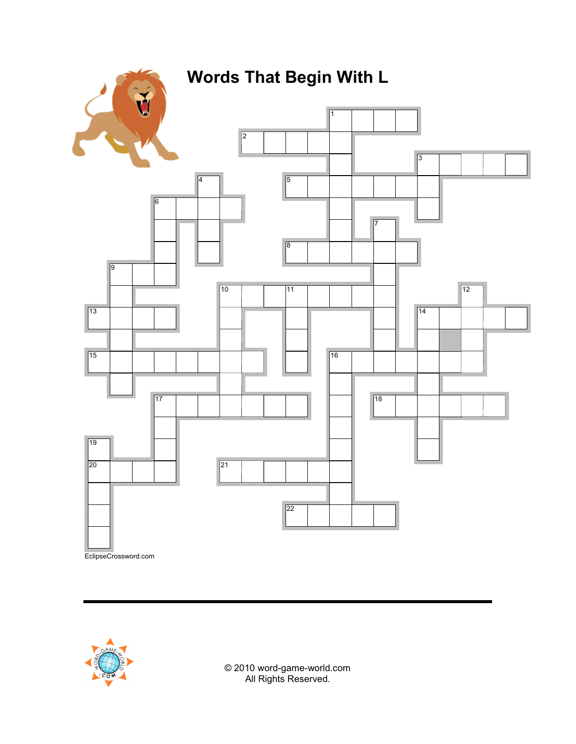





© 2010 word-game-world.com All Rights Reserved.